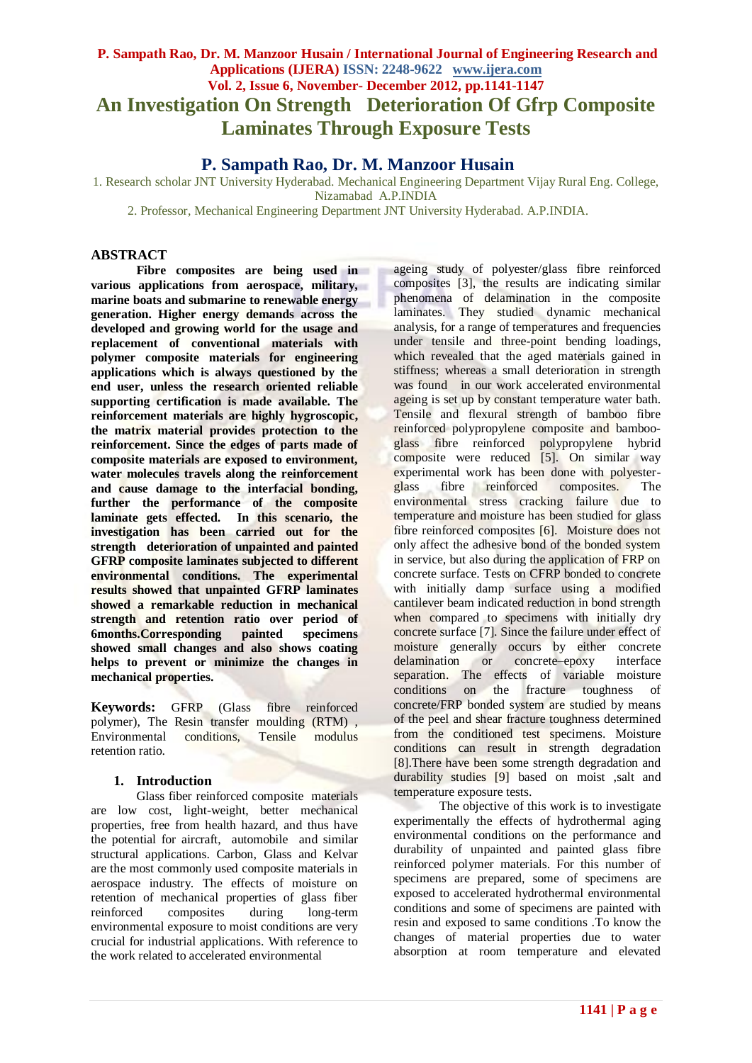# **P. Sampath Rao, Dr. M. Manzoor Husain / International Journal of Engineering Research and Applications (IJERA) ISSN: 2248-9622 www.ijera.com Vol. 2, Issue 6, November- December 2012, pp.1141-1147 An Investigation On Strength Deterioration Of Gfrp Composite Laminates Through Exposure Tests**

# **P. Sampath Rao, Dr. M. Manzoor Husain**

1. Research scholar JNT University Hyderabad. Mechanical Engineering Department Vijay Rural Eng. College, Nizamabad A.P.INDIA

2. Professor, Mechanical Engineering Department JNT University Hyderabad. A.P.INDIA.

# **ABSTRACT**

**Fibre composites are being used in various applications from aerospace, military, marine boats and submarine to renewable energy generation. Higher energy demands across the developed and growing world for the usage and replacement of conventional materials with polymer composite materials for engineering applications which is always questioned by the end user, unless the research oriented reliable supporting certification is made available. The reinforcement materials are highly hygroscopic, the matrix material provides protection to the reinforcement. Since the edges of parts made of composite materials are exposed to environment, water molecules travels along the reinforcement and cause damage to the interfacial bonding, further the performance of the composite laminate gets effected. In this scenario, the investigation has been carried out for the strength deterioration of unpainted and painted GFRP composite laminates subjected to different environmental conditions. The experimental results showed that unpainted GFRP laminates showed a remarkable reduction in mechanical strength and retention ratio over period of 6months.Corresponding painted specimens showed small changes and also shows coating helps to prevent or minimize the changes in mechanical properties.**

**Keywords:** GFRP (Glass fibre reinforced polymer), The Resin transfer moulding (RTM) , Environmental conditions, Tensile modulus retention ratio.

## **1. Introduction**

Glass fiber reinforced composite materials are low cost, light-weight, better mechanical properties, free from health hazard, and thus have the potential for aircraft, automobile and similar structural applications. Carbon, Glass and Kelvar are the most commonly used composite materials in aerospace industry. The effects of moisture on retention of mechanical properties of glass fiber reinforced composites during long-term environmental exposure to moist conditions are very crucial for industrial applications. With reference to the work related to accelerated environmental

ageing study of polyester/glass fibre reinforced composites [3], the results are indicating similar phenomena of delamination in the composite laminates. They studied dynamic mechanical analysis, for a range of temperatures and frequencies under tensile and three-point bending loadings, which revealed that the aged materials gained in stiffness; whereas a small deterioration in strength was found in our work accelerated environmental ageing is set up by constant temperature water bath. Tensile and flexural strength of bamboo fibre reinforced polypropylene composite and bambooglass fibre reinforced polypropylene hybrid composite were reduced [5]. On similar way experimental work has been done with polyesterglass fibre reinforced composites. The environmental stress cracking failure due to temperature and moisture has been studied for glass fibre reinforced composites [6]. Moisture does not only affect the adhesive bond of the bonded system in service, but also during the application of FRP on concrete surface. Tests on CFRP bonded to concrete with initially damp surface using a modified cantilever beam indicated reduction in bond strength when compared to specimens with initially dry concrete surface [7]. Since the failure under effect of moisture generally occurs by either concrete<br>delamination or concrete-epoxy interface delamination or concrete–epoxy interface separation. The effects of variable moisture conditions on the fracture toughness of concrete/FRP bonded system are studied by means of the peel and shear fracture toughness determined from the conditioned test specimens. Moisture conditions can result in strength degradation [8].There have been some strength degradation and durability studies [9] based on moist ,salt and temperature exposure tests.

The objective of this work is to investigate experimentally the effects of hydrothermal aging environmental conditions on the performance and durability of unpainted and painted glass fibre reinforced polymer materials. For this number of specimens are prepared, some of specimens are exposed to accelerated hydrothermal environmental conditions and some of specimens are painted with resin and exposed to same conditions .To know the changes of material properties due to water absorption at room temperature and elevated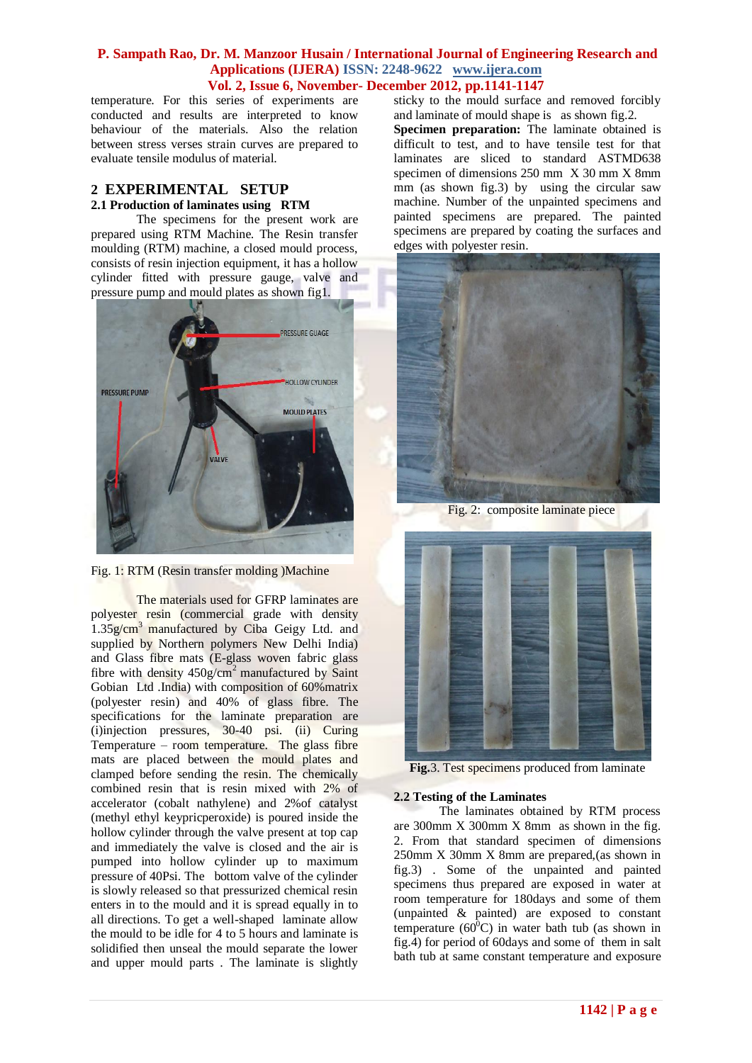temperature. For this series of experiments are conducted and results are interpreted to know behaviour of the materials. Also the relation between stress verses strain curves are prepared to evaluate tensile modulus of material.

# **2 EXPERIMENTAL SETUP 2.1 Production of laminates using RTM**

The specimens for the present work are prepared using RTM Machine. The Resin transfer moulding (RTM) machine, a closed mould process, consists of resin injection equipment, it has a hollow cylinder fitted with pressure gauge, valve and pressure pump and mould plates as shown fig1.





The materials used for GFRP laminates are polyester resin (commercial grade with density  $1.35$ g/cm<sup>3</sup> manufactured by Ciba Geigy Ltd. and supplied by Northern polymers New Delhi India) and Glass fibre mats (E-glass woven fabric glass fibre with density  $450g/cm^2$  manufactured by Saint Gobian Ltd .India) with composition of 60%matrix (polyester resin) and 40% of glass fibre. The specifications for the laminate preparation are (i)injection pressures, 30-40 psi. (ii) Curing Temperature – room temperature. The glass fibre mats are placed between the mould plates and clamped before sending the resin. The chemically combined resin that is resin mixed with 2% of accelerator (cobalt nathylene) and 2%of catalyst (methyl ethyl keypricperoxide) is poured inside the hollow cylinder through the valve present at top cap and immediately the valve is closed and the air is pumped into hollow cylinder up to maximum pressure of 40Psi. The bottom valve of the cylinder is slowly released so that pressurized chemical resin enters in to the mould and it is spread equally in to all directions. To get a well-shaped laminate allow the mould to be idle for 4 to 5 hours and laminate is solidified then unseal the mould separate the lower and upper mould parts . The laminate is slightly

sticky to the mould surface and removed forcibly and laminate of mould shape is as shown fig.2.

**Specimen preparation:** The laminate obtained is difficult to test, and to have tensile test for that laminates are sliced to standard ASTMD638 specimen of dimensions 250 mm X 30 mm X 8mm mm (as shown fig.3) by using the circular saw machine. Number of the unpainted specimens and painted specimens are prepared. The painted specimens are prepared by coating the surfaces and edges with polyester resin.



Fig. 2: composite laminate piece



**Fig.**3. Test specimens produced from laminate

#### **2.2 Testing of the Laminates**

The laminates obtained by RTM process are 300mm X 300mm X 8mm as shown in the fig. 2. From that standard specimen of dimensions 250mm X 30mm X 8mm are prepared,(as shown in fig.3) . Some of the unpainted and painted specimens thus prepared are exposed in water at room temperature for 180days and some of them (unpainted & painted) are exposed to constant temperature  $(60^{\circ}C)$  in water bath tub (as shown in fig.4) for period of 60days and some of them in salt bath tub at same constant temperature and exposure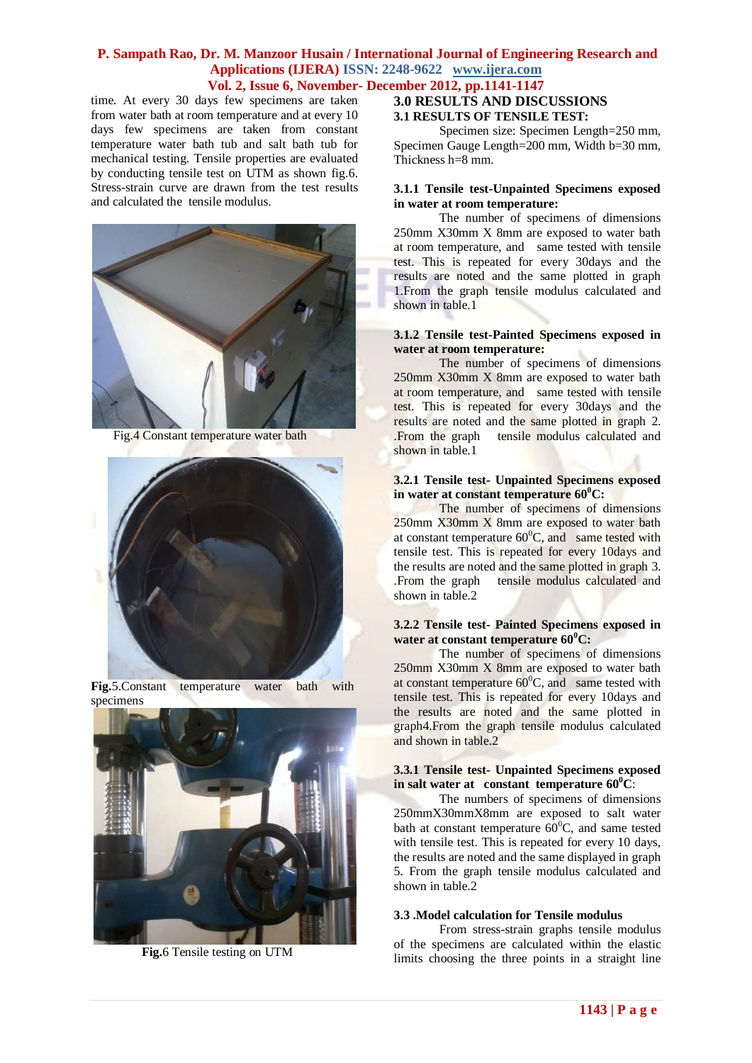time. At every 30 days few specimens are taken from water bath at room temperature and at every 10 days few specimens are taken from constant temperature water bath tub and salt bath tub for mechanical testing. Tensile properties are evaluated by conducting tensile test on UTM as shown fig.6. Stress-strain curve are drawn from the test results and calculated the tensile modulus.



Fig.4 Constant temperature water bath



**Fig.**5.Constant temperature water bath with specimens



 **Fig.**6 Tensile testing on UTM

## **3.0 RESULTS AND DISCUSSIONS 3.1 RESULTS OF TENSILE TEST:**

Specimen size: Specimen Length=250 mm, Specimen Gauge Length=200 mm, Width b=30 mm, Thickness h=8 mm.

#### **3.1.1 Tensile test-Unpainted Specimens exposed in water at room temperature:**

The number of specimens of dimensions 250mm X30mm X 8mm are exposed to water bath at room temperature, and same tested with tensile test. This is repeated for every 30days and the results are noted and the same plotted in graph 1.From the graph tensile modulus calculated and shown in table.1

#### **3.1.2 Tensile test-Painted Specimens exposed in water at room temperature:**

The number of specimens of dimensions 250mm X30mm X 8mm are exposed to water bath at room temperature, and same tested with tensile test. This is repeated for every 30days and the results are noted and the same plotted in graph 2. .From the graph tensile modulus calculated and shown in table.1

#### **3.2.1 Tensile test- Unpainted Specimens exposed in water at constant temperature 60 <sup>0</sup>C:**

The number of specimens of dimensions 250mm X30mm X 8mm are exposed to water bath at constant temperature  $60^{\circ}$ C, and same tested with tensile test. This is repeated for every 10days and the results are noted and the same plotted in graph 3. .From the graph tensile modulus calculated and shown in table.2

#### **3.2.2 Tensile test- Painted Specimens exposed in water at constant temperature 60<sup>0</sup>C:**

The number of specimens of dimensions 250mm X30mm X 8mm are exposed to water bath at constant temperature  $60^{\circ}$ C, and same tested with tensile test. This is repeated for every 10days and the results are noted and the same plotted in graph4.From the graph tensile modulus calculated and shown in table.2

#### **3.3.1 Tensile test- Unpainted Specimens exposed in salt water at constant temperature 60<sup>0</sup>C**:

The numbers of specimens of dimensions 250mmX30mmX8mm are exposed to salt water bath at constant temperature  $60^{\circ}$ C, and same tested with tensile test. This is repeated for every 10 days, the results are noted and the same displayed in graph 5. From the graph tensile modulus calculated and shown in table.2

#### **3.3 .Model calculation for Tensile modulus**

From stress-strain graphs tensile modulus of the specimens are calculated within the elastic limits choosing the three points in a straight line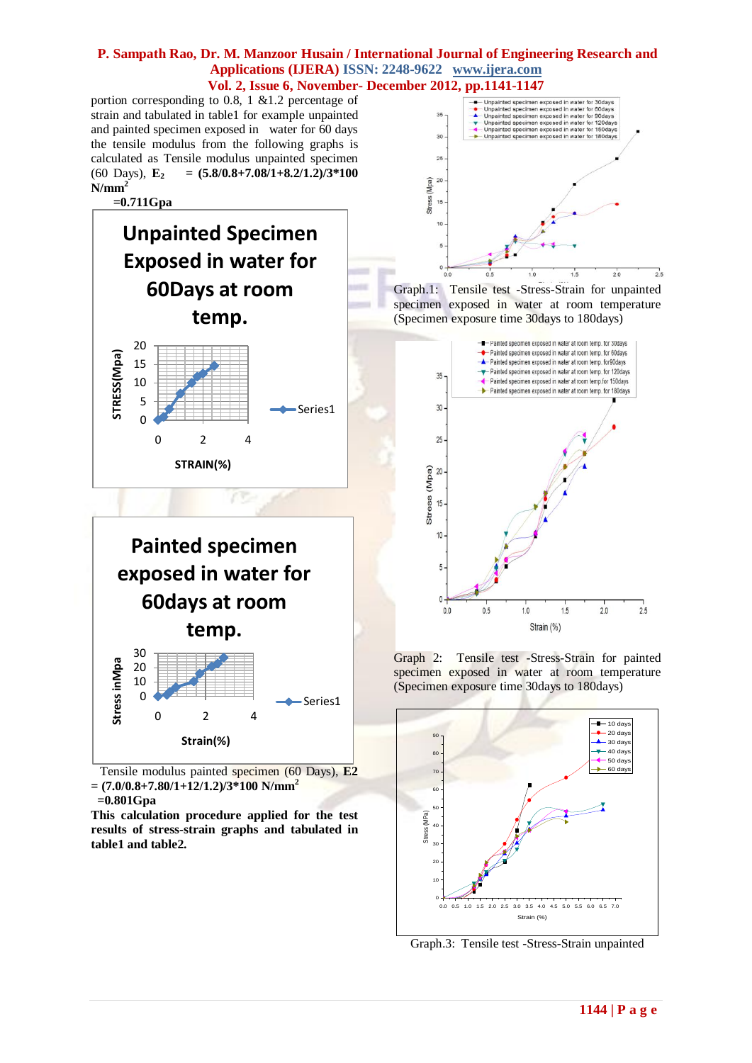portion corresponding to 0.8, 1 &1.2 percentage of strain and tabulated in table1 for example unpainted and painted specimen exposed in water for 60 days the tensile modulus from the following graphs is calculated as Tensile modulus unpainted specimen (60 Days),  $\mathbf{E}_2 = (5.8/0.8 + 7.08/1 + 8.2/1.2)/3*100$ **N/mm<sup>2</sup>**

 **=0.711Gpa**



20 30 **Painted specimen exposed in water for 60days at room temp.**

**STRAIN(%)**



 Tensile modulus painted specimen (60 Days), **E2 = (7.0/0.8+7.80/1+12/1.2)/3\*100 N/mm<sup>2</sup> =0.801Gpa**

**This calculation procedure applied for the test results of stress-strain graphs and tabulated in table1 and table2.**







Graph 2: Tensile test -Stress-Strain for painted specimen exposed in water at room temperature (Specimen exposure time 30days to 180days)



Graph.3: Tensile test -Stress-Strain unpainted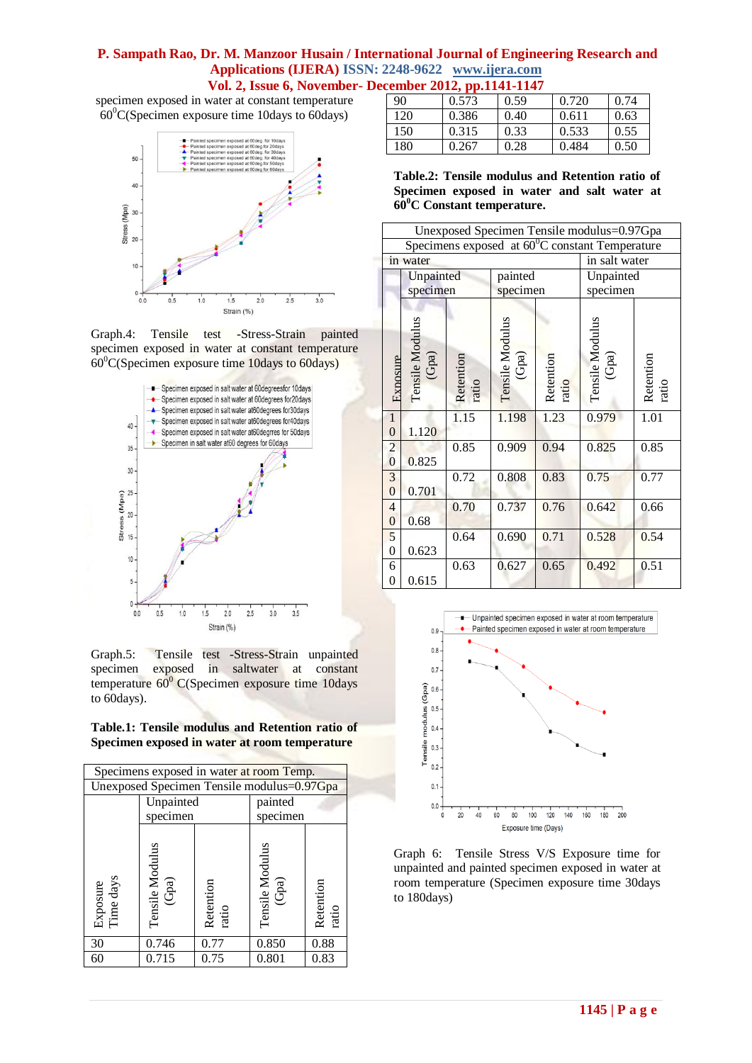# **P. Sampath Rao, Dr. M. Manzoor Husain / International Journal of Engineering Research and Applications (IJERA) ISSN: 2248-9622 www.ijera.com**

**Vol. 2, Issue 6, November- December 2012, pp.1141-1147**

specimen exposed in water at constant temperature  $60^{\circ}$ C(Specimen exposure time 10days to 60days)



Graph.4: Tensile test -Stress-Strain painted specimen exposed in water at constant temperature  $60^{\circ}$ C(Specimen exposure time 10days to 60days)



Graph.5: Tensile test -Stress-Strain unpainted specimen exposed in saltwater at constant temperature  $60^{\circ}$  C(Specimen exposure time 10days to 60days).

|  |  | Table.1: Tensile modulus and Retention ratio of |  |
|--|--|-------------------------------------------------|--|
|  |  | Specimen exposed in water at room temperature   |  |

| Specimens exposed in water at room Temp.   |                          |                    |                          |                    |  |
|--------------------------------------------|--------------------------|--------------------|--------------------------|--------------------|--|
| Unexposed Specimen Tensile modulus=0.97Gpa |                          |                    |                          |                    |  |
|                                            | Unpainted                |                    | painted                  |                    |  |
|                                            | specimen                 |                    | specimen                 |                    |  |
| Exposure<br>Time days                      | Tensile Modulus<br>(Gpa) | Retention<br>ratio | Tensile Modulus<br>(Gpa) | Retention<br>ratio |  |
| 30                                         | 0.746                    | 0.77               | 0.850                    | 0.88               |  |
| 60                                         | 0.715                    | 0.75               | 0.801                    | 0.83               |  |

| 90  | 0.573 | 0.59 | 0.720 | 0.74 |  |
|-----|-------|------|-------|------|--|
| 120 | 0.386 | 0.40 | 0.611 | 0.63 |  |
| 150 | 0.315 | 0.33 | 0.533 | 0.55 |  |
| 180 | 0.267 | 0.28 | 0.484 | 0.50 |  |

**Table.2: Tensile modulus and Retention ratio of Specimen exposed in water and salt water at 60<sup>0</sup>C Constant temperature.**

| Unexposed Specimen Tensile modulus=0.97Gpa               |                             |                    |                          |                    |                          |                    |
|----------------------------------------------------------|-----------------------------|--------------------|--------------------------|--------------------|--------------------------|--------------------|
| Specimens exposed at $60^{\circ}$ C constant Temperature |                             |                    |                          |                    |                          |                    |
| in water                                                 |                             |                    |                          | in salt water      |                          |                    |
|                                                          | painted<br>Unpainted        |                    |                          | Unpainted          |                          |                    |
|                                                          | specimen                    |                    | specimen                 |                    | specimen                 |                    |
| <b>Exposure</b>                                          | Tensile<br>Modulus<br>(Gpa) | Retention<br>ratio | Tensile Modulus<br>(Gpa) | Retention<br>ratio | Tensile Modulus<br>(Gpa) | Retention<br>ratio |
| $\mathbf{1}$<br>$\boldsymbol{0}$                         | 1.120                       | 1.15               | 1.198                    | 1.23               | 0.979                    | 1.01               |
| $\overline{c}$                                           |                             | 0.85               | 0.909                    | 0.94               | 0.825                    | 0.85               |
| $\overline{0}$                                           | 0.825                       |                    |                          |                    |                          |                    |
| $\overline{3}$                                           |                             | 0.72               | 0.808                    | 0.83               | 0.75                     | 0.77               |
| $\overline{0}$                                           | 0.701                       |                    |                          |                    |                          |                    |
| $\overline{4}$                                           |                             | 0.70               | 0.737                    | 0.76               | 0.642                    | 0.66               |
| $\boldsymbol{0}$                                         | 0.68                        |                    |                          |                    |                          |                    |
| 5                                                        |                             | 0.64               | 0.690                    | 0.71               | 0.528                    | 0.54               |
| $\boldsymbol{0}$                                         | 0.623                       |                    |                          |                    |                          |                    |
| 6                                                        |                             | 0.63               | 0.627                    | 0.65               | 0.492                    | 0.51               |
| $\boldsymbol{0}$                                         | 0.615                       |                    |                          |                    |                          |                    |



Graph 6: Tensile Stress V/S Exposure time for unpainted and painted specimen exposed in water at room temperature (Specimen exposure time 30days to 180days)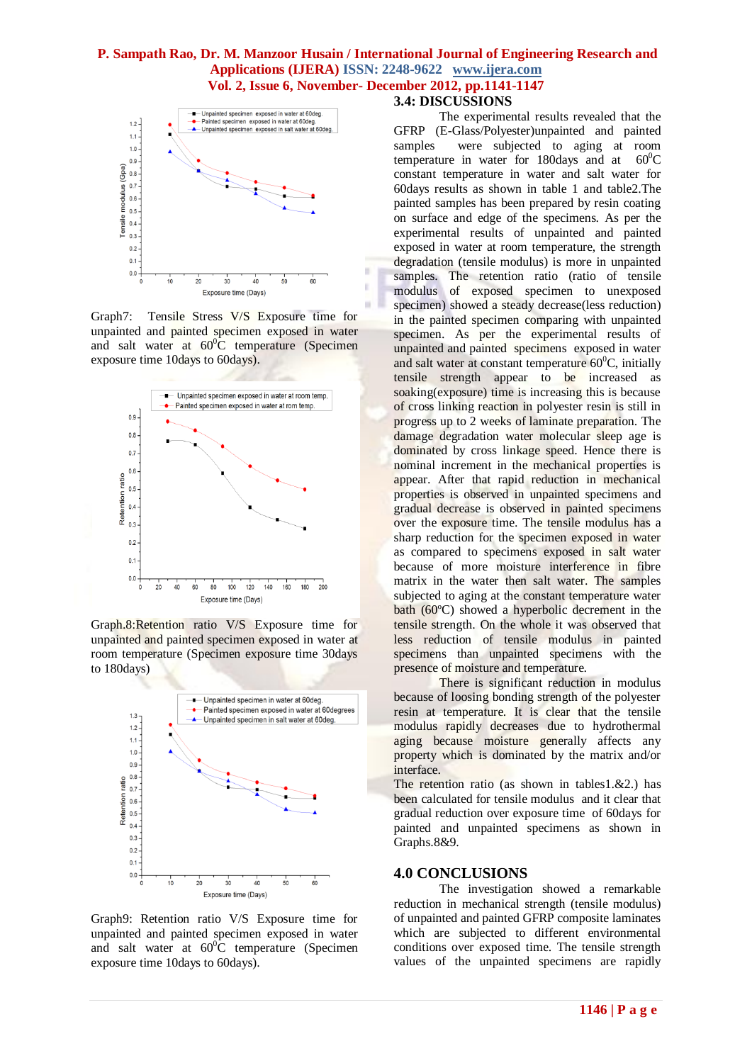Ė



Graph7: Tensile Stress V/S Exposure time for unpainted and painted specimen exposed in water and salt water at  $60^{\circ}$ C temperature (Specimen exposure time 10days to 60days).



Graph.8:Retention ratio V/S Exposure time for unpainted and painted specimen exposed in water at room temperature (Specimen exposure time 30days to 180days)



Graph9: Retention ratio V/S Exposure time for unpainted and painted specimen exposed in water and salt water at  $60^{\circ}$ C temperature (Specimen exposure time 10days to 60days).

### **3.4: DISCUSSIONS**

The experimental results revealed that the GFRP (E-Glass/Polyester)unpainted and painted samples were subjected to aging at room temperature in water for 180days and at  $60^{\circ}$ C constant temperature in water and salt water for 60days results as shown in table 1 and table2.The painted samples has been prepared by resin coating on surface and edge of the specimens. As per the experimental results of unpainted and painted exposed in water at room temperature, the strength degradation (tensile modulus) is more in unpainted samples. The retention ratio (ratio of tensile modulus of exposed specimen to unexposed specimen) showed a steady decrease(less reduction) in the painted specimen comparing with unpainted specimen. As per the experimental results of unpainted and painted specimens exposed in water and salt water at constant temperature  $60^{\circ}$ C, initially tensile strength appear to be increased as soaking(exposure) time is increasing this is because of cross linking reaction in polyester resin is still in progress up to 2 weeks of laminate preparation. The damage degradation water molecular sleep age is dominated by cross linkage speed. Hence there is nominal increment in the mechanical properties is appear. After that rapid reduction in mechanical properties is observed in unpainted specimens and gradual decrease is observed in painted specimens over the exposure time. The tensile modulus has a sharp reduction for the specimen exposed in water as compared to specimens exposed in salt water because of more moisture interference in fibre matrix in the water then salt water. The samples subjected to aging at the constant temperature water bath (60ºC) showed a hyperbolic decrement in the tensile strength. On the whole it was observed that less reduction of tensile modulus in painted specimens than unpainted specimens with the presence of moisture and temperature.

There is significant reduction in modulus because of loosing bonding strength of the polyester resin at temperature. It is clear that the tensile modulus rapidly decreases due to hydrothermal aging because moisture generally affects any property which is dominated by the matrix and/or interface.

The retention ratio (as shown in tables1. $&2$ .) has been calculated for tensile modulus and it clear that gradual reduction over exposure time of 60days for painted and unpainted specimens as shown in Graphs.8&9.

#### **4.0 CONCLUSIONS**

The investigation showed a remarkable reduction in mechanical strength (tensile modulus) of unpainted and painted GFRP composite laminates which are subjected to different environmental conditions over exposed time. The tensile strength values of the unpainted specimens are rapidly